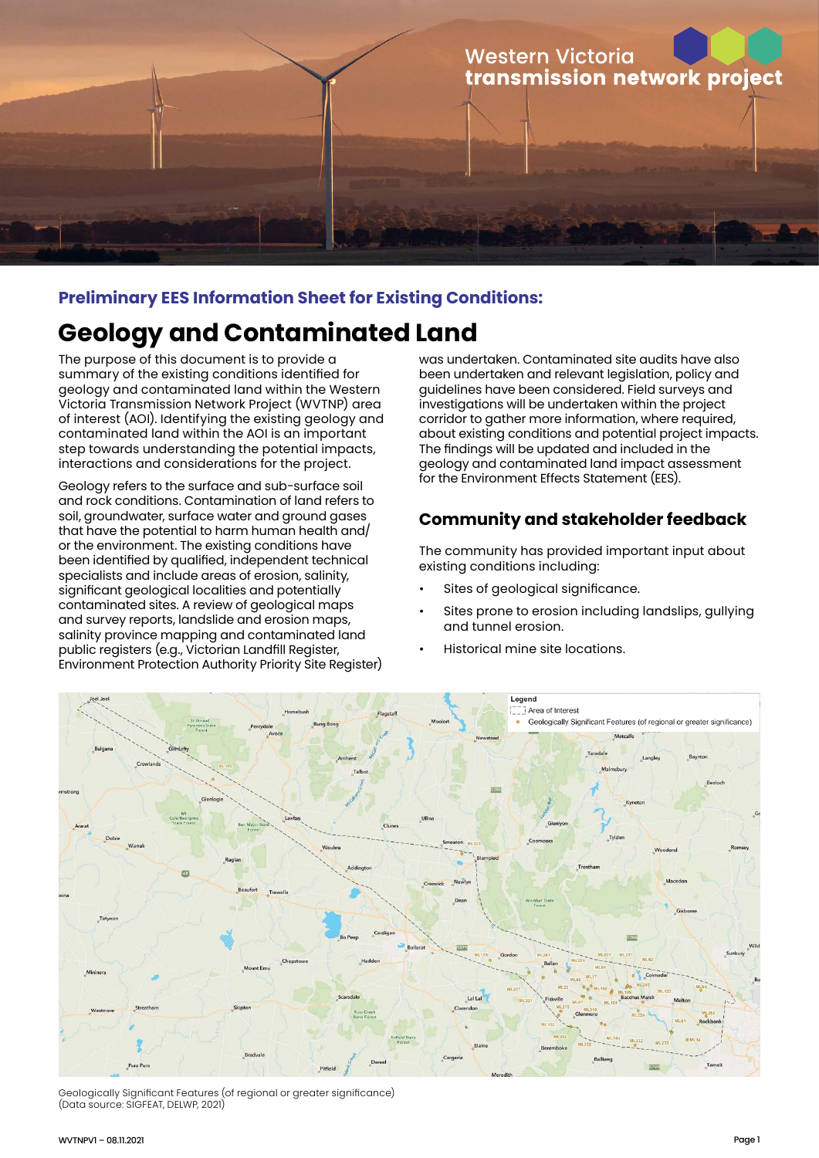

## **Preliminary EES Information Sheet for Existing Conditions:**

# **Geology and Contaminated Land**

The purpose of this document is to provide a summary of the existing conditions identified for geology and contaminated land within the Western Victoria Transmission Network Project (WVTNP) area of interest (AOI). Identifying the existing geology and contaminated land within the AOI is an important step towards understanding the potential impacts, interactions and considerations for the project.

Geology refers to the surface and sub-surface soil and rock conditions. Contamination of land refers to soil, groundwater, surface water and ground gases that have the potential to harm human health and/ or the environment. The existing conditions have been identified by qualified, independent technical specialists and include areas of erosion, salinity, significant geological localities and potentially contaminated sites. A review of geological maps and survey reports, landslide and erosion maps, salinity province mapping and contaminated land public registers (e.g., Victorian Landfill Register, Environment Protection Authority Priority Site Register) was undertaken. Contaminated site audits have also been undertaken and relevant legislation, policy and guidelines have been considered. Field surveys and investigations will be undertaken within the project corridor to gather more information, where required, about existing conditions and potential project impacts. The findings will be updated and included in the geology and contaminated land impact assessment for the Environment Effects Statement (EES).

# **Community and stakeholder feedback**

The community has provided important input about existing conditions including:

- Sites of geological significance.
- Sites prone to erosion including landslips, gullying and tunnel erosion.
- Historical mine site locations.



Geologically Significant Features (of regional or greater significance) (Data source: SIGFEAT, DELWP, 2021)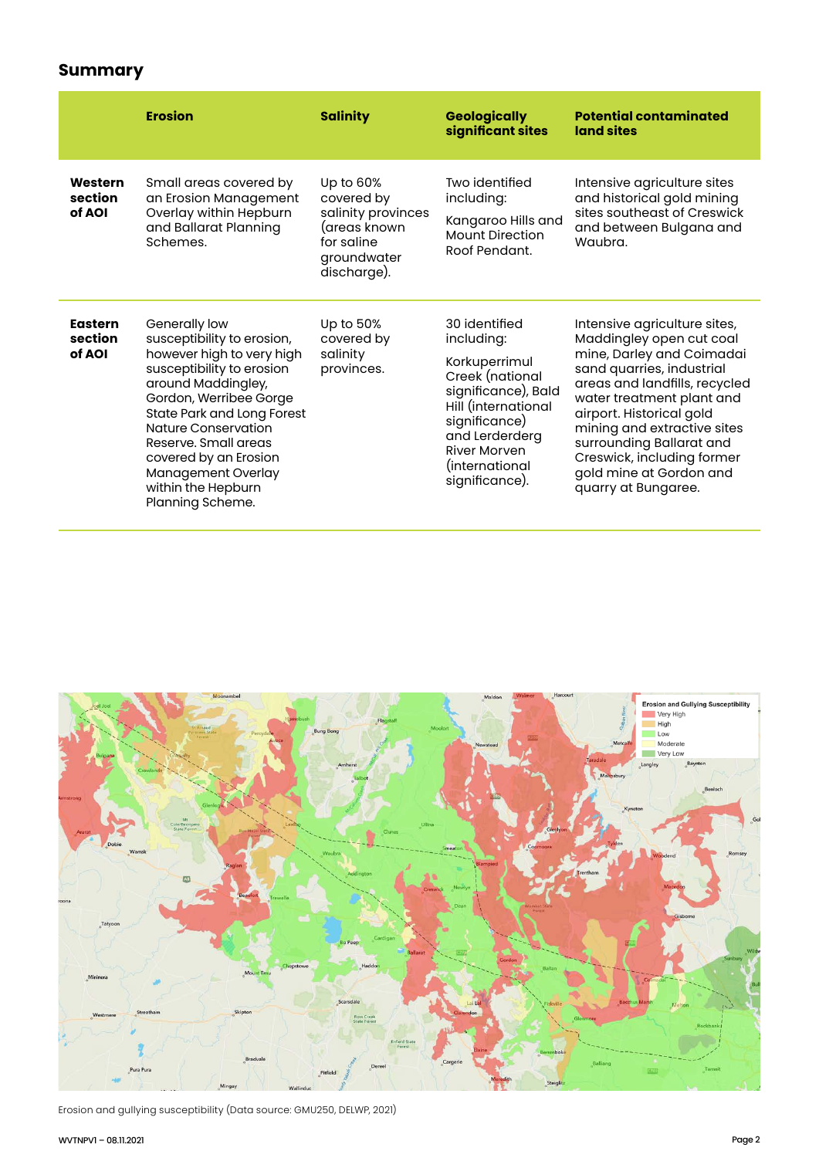# **Summary**

|                                     | <b>Erosion</b>                                                                                                                                                                                                                                                                                                              | <b>Salinity</b>                                                                                           | <b>Geologically</b><br>significant sites                                                                                                                                                                    | <b>Potential contaminated</b><br>land sites                                                                                                                                                                                                                                                                                                             |
|-------------------------------------|-----------------------------------------------------------------------------------------------------------------------------------------------------------------------------------------------------------------------------------------------------------------------------------------------------------------------------|-----------------------------------------------------------------------------------------------------------|-------------------------------------------------------------------------------------------------------------------------------------------------------------------------------------------------------------|---------------------------------------------------------------------------------------------------------------------------------------------------------------------------------------------------------------------------------------------------------------------------------------------------------------------------------------------------------|
| Western<br>section<br>of AOI        | Small areas covered by<br>an Erosion Management<br>Overlay within Hepburn<br>and Ballarat Planning<br>Schemes.                                                                                                                                                                                                              | Up to 60%<br>covered by<br>salinity provinces<br>(areas known<br>for saline<br>groundwater<br>discharge). | Two identified<br>including:<br>Kangaroo Hills and<br><b>Mount Direction</b><br>Roof Pendant.                                                                                                               | Intensive agriculture sites<br>and historical gold mining<br>sites southeast of Creswick<br>and between Bulgana and<br>Waubra.                                                                                                                                                                                                                          |
| <b>Eastern</b><br>section<br>of AOI | Generally low<br>susceptibility to erosion,<br>however high to very high<br>susceptibility to erosion<br>around Maddingley,<br>Gordon, Werribee Gorge<br>State Park and Long Forest<br>Nature Conservation<br>Reserve, Small areas<br>covered by an Erosion<br>Management Overlay<br>within the Hepburn<br>Planning Scheme. | Up to 50%<br>covered by<br>salinity<br>provinces.                                                         | 30 identified<br>including:<br>Korkuperrimul<br>Creek (national<br>significance), Bald<br>Hill (international<br>significance)<br>and Lerderderg<br><b>River Morven</b><br>(international<br>significance). | Intensive agriculture sites,<br>Maddingley open cut coal<br>mine, Darley and Coimadai<br>sand quarries, industrial<br>areas and landfills, recycled<br>water treatment plant and<br>airport. Historical gold<br>mining and extractive sites<br>surrounding Ballarat and<br>Creswick, including former<br>gold mine at Gordon and<br>quarry at Bungaree. |



Erosion and gullying susceptibility (Data source: GMU250, DELWP, 2021)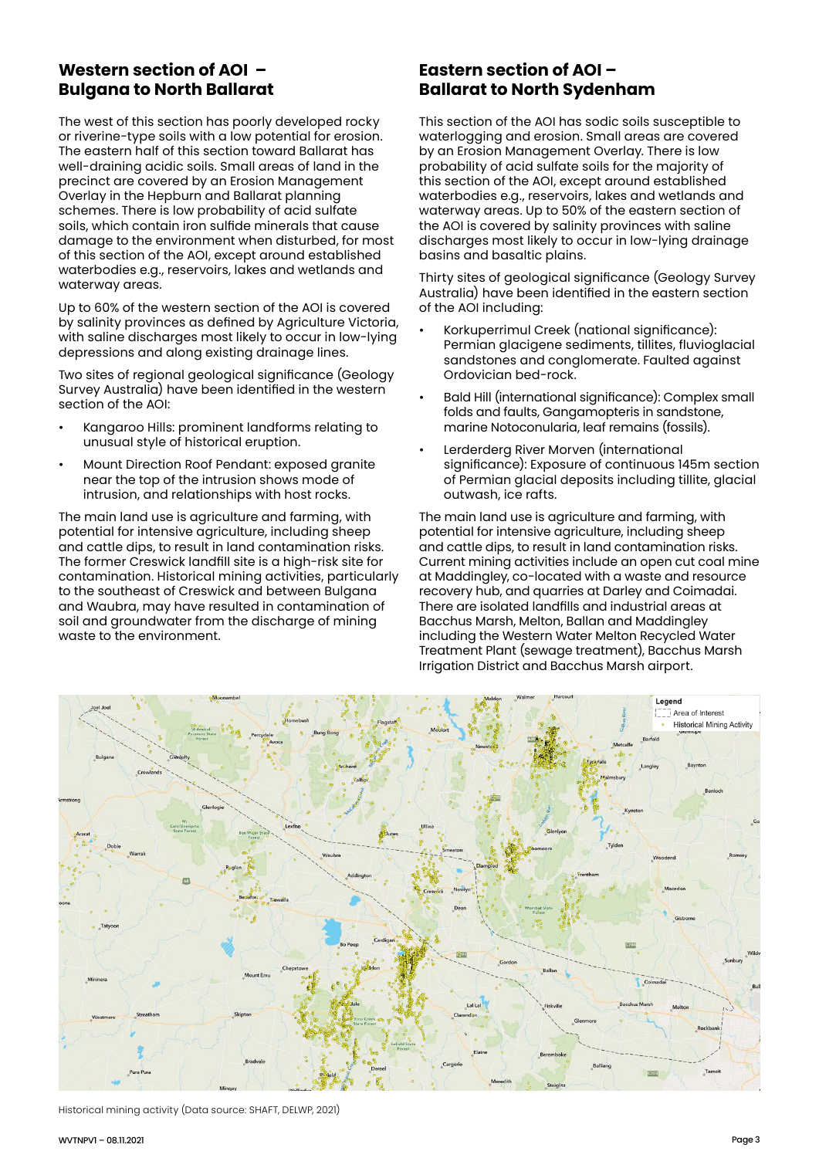## **Western section of AOI – Bulgana to North Ballarat**

The west of this section has poorly developed rocky or riverine-type soils with a low potential for erosion. The eastern half of this section toward Ballarat has well-draining acidic soils. Small areas of land in the precinct are covered by an Erosion Management Overlay in the Hepburn and Ballarat planning schemes. There is low probability of acid sulfate soils, which contain iron sulfide minerals that cause damage to the environment when disturbed, for most of this section of the AOI, except around established waterbodies e.g., reservoirs, lakes and wetlands and waterway areas.

Up to 60% of the western section of the AOI is covered by salinity provinces as defined by Agriculture Victoria, with saline discharges most likely to occur in low-lying depressions and along existing drainage lines.

Two sites of regional geological significance (Geology Survey Australia) have been identified in the western section of the AOI:

- Kangaroo Hills: prominent landforms relating to unusual style of historical eruption.
- Mount Direction Roof Pendant: exposed granite near the top of the intrusion shows mode of intrusion, and relationships with host rocks.

The main land use is agriculture and farming, with potential for intensive agriculture, including sheep and cattle dips, to result in land contamination risks. The former Creswick landfill site is a high-risk site for contamination. Historical mining activities, particularly to the southeast of Creswick and between Bulgana and Waubra, may have resulted in contamination of soil and groundwater from the discharge of mining waste to the environment.

#### **Eastern section of AOI – Ballarat to North Sydenham**

This section of the AOI has sodic soils susceptible to waterlogging and erosion. Small areas are covered by an Erosion Management Overlay. There is low probability of acid sulfate soils for the majority of this section of the AOI, except around established waterbodies e.g., reservoirs, lakes and wetlands and waterway areas. Up to 50% of the eastern section of the AOI is covered by salinity provinces with saline discharges most likely to occur in low-lying drainage basins and basaltic plains.

Thirty sites of geological significance (Geology Survey Australia) have been identified in the eastern section of the AOI including:

- Korkuperrimul Creek (national significance): Permian glacigene sediments, tillites, fluvioglacial sandstones and conglomerate. Faulted against Ordovician bed-rock.
- Bald Hill (international significance): Complex small folds and faults, Gangamopteris in sandstone, marine Notoconularia, leaf remains (fossils).
- Lerderderg River Morven (international significance): Exposure of continuous 145m section of Permian glacial deposits including tillite, glacial outwash, ice rafts.

The main land use is agriculture and farming, with potential for intensive agriculture, including sheep and cattle dips, to result in land contamination risks. Current mining activities include an open cut coal mine at Maddingley, co-located with a waste and resource recovery hub, and quarries at Darley and Coimadai. There are isolated landfills and industrial areas at Bacchus Marsh, Melton, Ballan and Maddingley including the Western Water Melton Recycled Water Treatment Plant (sewage treatment), Bacchus Marsh Irrigation District and Bacchus Marsh airport.



Historical mining activity (Data source: SHAFT, DELWP, 2021)